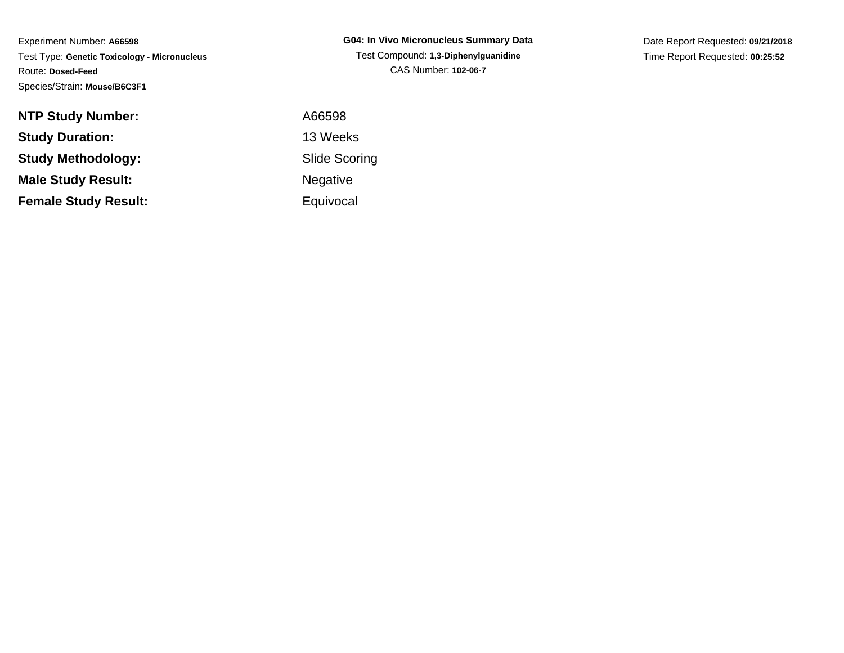**G04: In Vivo Micronucleus Summary Data**Test Compound: **1,3-Diphenylguanidine**CAS Number: **102-06-7**

Date Report Requested: **09/21/2018**Time Report Requested: **00:25:52**

| <b>NTP Study Number:</b>    | A66598    |
|-----------------------------|-----------|
| <b>Study Duration:</b>      | 13 Weeks  |
| <b>Study Methodology:</b>   | Slide Sco |
| <b>Male Study Result:</b>   | Negative  |
| <b>Female Study Result:</b> | Equivocal |

 A66598 13 Weeks Slide ScoringNegative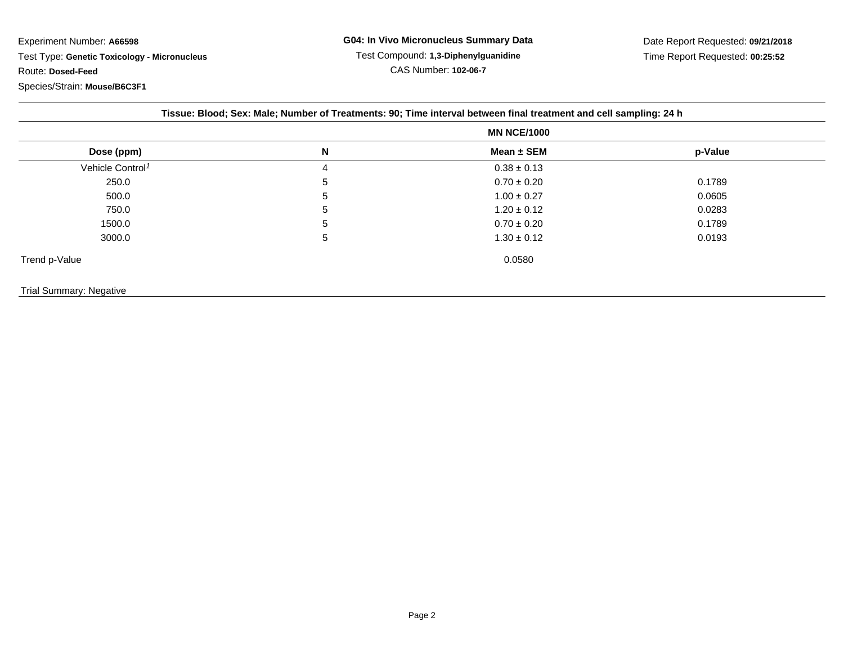|                                | Tissue: Blood; Sex: Male; Number of Treatments: 90; Time interval between final treatment and cell sampling: 24 h |                 |         |  |  |
|--------------------------------|-------------------------------------------------------------------------------------------------------------------|-----------------|---------|--|--|
|                                | <b>MN NCE/1000</b>                                                                                                |                 |         |  |  |
| Dose (ppm)                     | N                                                                                                                 | Mean ± SEM      | p-Value |  |  |
| Vehicle Control <sup>1</sup>   | 4                                                                                                                 | $0.38 \pm 0.13$ |         |  |  |
| 250.0                          | 5                                                                                                                 | $0.70 \pm 0.20$ | 0.1789  |  |  |
| 500.0                          | 5                                                                                                                 | $1.00 \pm 0.27$ | 0.0605  |  |  |
| 750.0                          | 5                                                                                                                 | $1.20 \pm 0.12$ | 0.0283  |  |  |
| 1500.0                         | 5                                                                                                                 | $0.70 \pm 0.20$ | 0.1789  |  |  |
| 3000.0                         | 5                                                                                                                 | $1.30 \pm 0.12$ | 0.0193  |  |  |
| Trend p-Value                  |                                                                                                                   | 0.0580          |         |  |  |
| <b>Trial Summary: Negative</b> |                                                                                                                   |                 |         |  |  |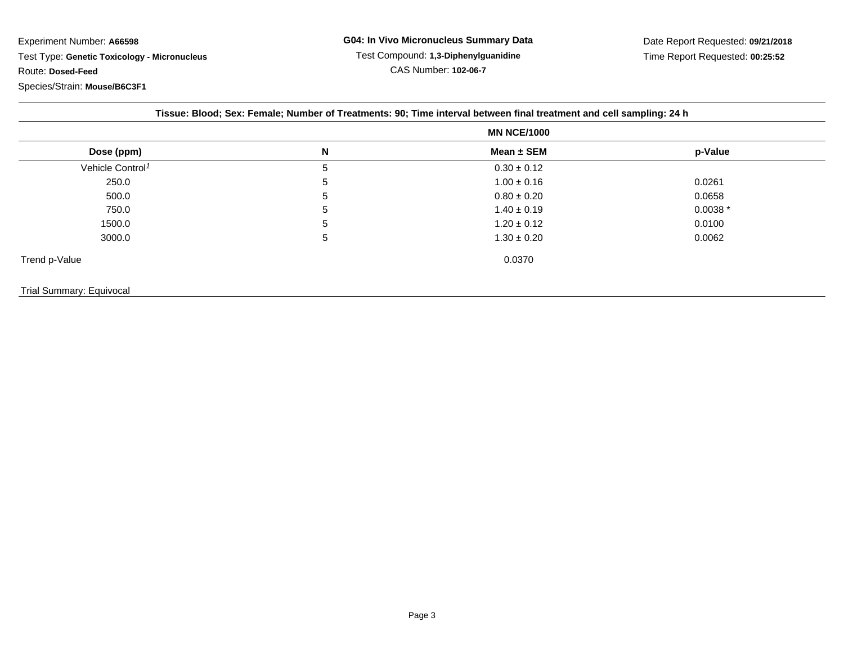| Dose (ppm)                   | <b>MN NCE/1000</b> |                 |            |  |
|------------------------------|--------------------|-----------------|------------|--|
|                              | N                  | Mean $\pm$ SEM  | p-Value    |  |
| Vehicle Control <sup>1</sup> | 5                  | $0.30 \pm 0.12$ |            |  |
| 250.0                        | 5                  | $1.00 \pm 0.16$ | 0.0261     |  |
| 500.0                        | 5                  | $0.80 \pm 0.20$ | 0.0658     |  |
| 750.0                        | 5                  | $1.40 \pm 0.19$ | $0.0038 *$ |  |
| 1500.0                       | 5                  | $1.20 \pm 0.12$ | 0.0100     |  |
| 3000.0                       | 5                  | $1.30 \pm 0.20$ | 0.0062     |  |
| Trend p-Value                |                    | 0.0370          |            |  |

## Trial Summary: Equivocal